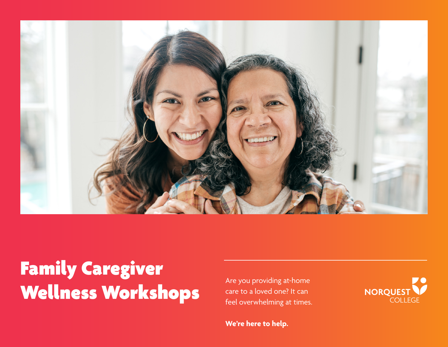

# Family Caregiver Wellness Workshops

Are you providing at-home care to a loved one? It can feel overwhelming at times.

NORQUEST COLLEGE

**We're here to help.**